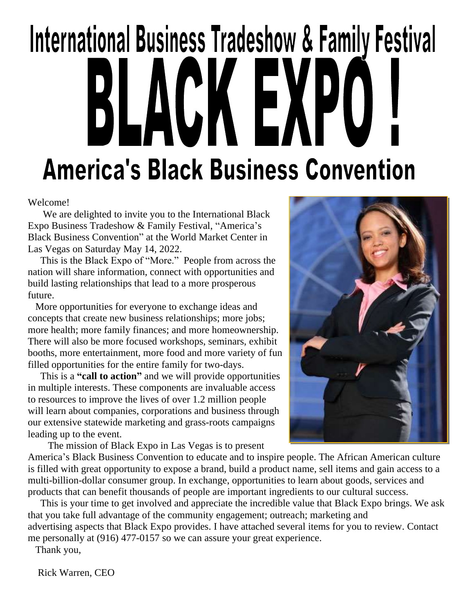# International Business Tradeshow & Family Festival KEXI LACI **America's Black Business Convention**

Welcome!

 We are delighted to invite you to the International Black Expo Business Tradeshow & Family Festival, "America's Black Business Convention" at the World Market Center in Las Vegas on Saturday May 14, 2022.

 This is the Black Expo of "More." People from across the nation will share information, connect with opportunities and build lasting relationships that lead to a more prosperous future.

 More opportunities for everyone to exchange ideas and concepts that create new business relationships; more jobs; more health; more family finances; and more homeownership. There will also be more focused workshops, seminars, exhibit booths, more entertainment, more food and more variety of fun filled opportunities for the entire family for two-days.

 This is a **"call to action"** and we will provide opportunities in multiple interests. These components are invaluable access to resources to improve the lives of over 1.2 million people will learn about companies, corporations and business through our extensive statewide marketing and grass-roots campaigns leading up to the event.

The mission of Black Expo in Las Vegas is to present

America's Black Business Convention to educate and to inspire people. The African American culture is filled with great opportunity to expose a brand, build a product name, sell items and gain access to a multi-billion-dollar consumer group. In exchange, opportunities to learn about goods, services and products that can benefit thousands of people are important ingredients to our cultural success.

 This is your time to get involved and appreciate the incredible value that Black Expo brings. We ask that you take full advantage of the community engagement; outreach; marketing and advertising aspects that Black Expo provides. I have attached several items for you to review. Contact me personally at (916) 477-0157 so we can assure your great experience.

Thank you,

Rick Warren, CEO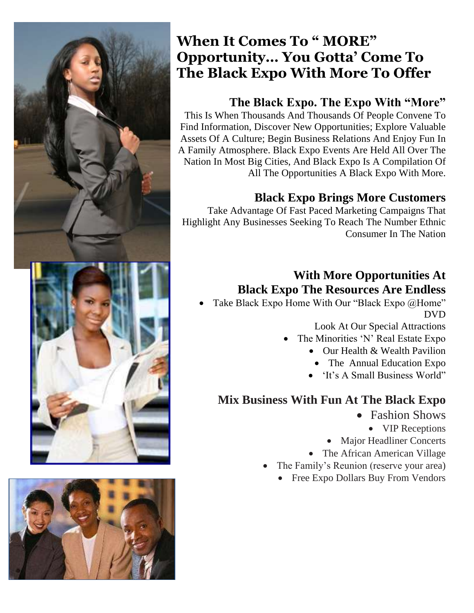



### **When It Comes To " MORE" Opportunity… You Gotta' Come To The Black Expo With More To Offer**

### **The Black Expo. The Expo With "More"**

This Is When Thousands And Thousands Of People Convene To Find Information, Discover New Opportunities; Explore Valuable Assets Of A Culture; Begin Business Relations And Enjoy Fun In A Family Atmosphere. Black Expo Events Are Held All Over The Nation In Most Big Cities, And Black Expo Is A Compilation Of All The Opportunities A Black Expo With More.

### **Black Expo Brings More Customers**

Take Advantage Of Fast Paced Marketing Campaigns That Highlight Any Businesses Seeking To Reach The Number Ethnic Consumer In The Nation

### **With More Opportunities At Black Expo The Resources Are Endless**

Take Black Expo Home With Our "Black Expo @Home" DVD

Look At Our Special Attractions

- The Minorities 'N' Real Estate Expo
	- Our Health & Wealth Pavilion
		- The Annual Education Expo
	- 'It's A Small Business World"

### **Mix Business With Fun At The Black Expo**

- Fashion Shows
	- **VIP Receptions**
- Major Headliner Concerts
- The African American Village
- The Family's Reunion (reserve your area)
	- Free Expo Dollars Buy From Vendors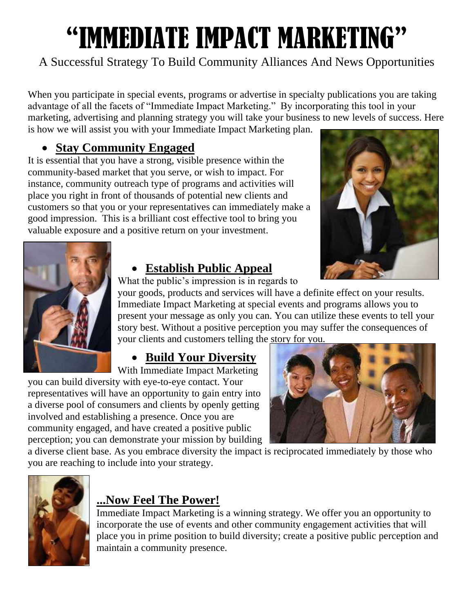# "IMMEDIATE IMPACT MARKETING"

### A Successful Strategy To Build Community Alliances And News Opportunities

When you participate in special events, programs or advertise in specialty publications you are taking advantage of all the facets of "Immediate Impact Marketing." By incorporating this tool in your marketing, advertising and planning strategy you will take your business to new levels of success. Here is how we will assist you with your Immediate Impact Marketing plan.

### • **Stay Community Engaged**

It is essential that you have a strong, visible presence within the community-based market that you serve, or wish to impact. For instance, community outreach type of programs and activities will place you right in front of thousands of potential new clients and customers so that you or your representatives can immediately make a good impression. This is a brilliant cost effective tool to bring you valuable exposure and a positive return on your investment.





### • **Establish Public Appeal**

What the public's impression is in regards to

your goods, products and services will have a definite effect on your results. Immediate Impact Marketing at special events and programs allows you to present your message as only you can. You can utilize these events to tell your story best. Without a positive perception you may suffer the consequences of your clients and customers telling the story for you.

### • **Build Your Diversity**

With Immediate Impact Marketing you can build diversity with eye-to-eye contact. Your representatives will have an opportunity to gain entry into a diverse pool of consumers and clients by openly getting involved and establishing a presence. Once you are community engaged, and have created a positive public perception; you can demonstrate your mission by building



a diverse client base. As you embrace diversity the impact is reciprocated immediately by those who you are reaching to include into your strategy.



### **...Now Feel The Power!**

Immediate Impact Marketing is a winning strategy. We offer you an opportunity to incorporate the use of events and other community engagement activities that will place you in prime position to build diversity; create a positive public perception and maintain a community presence.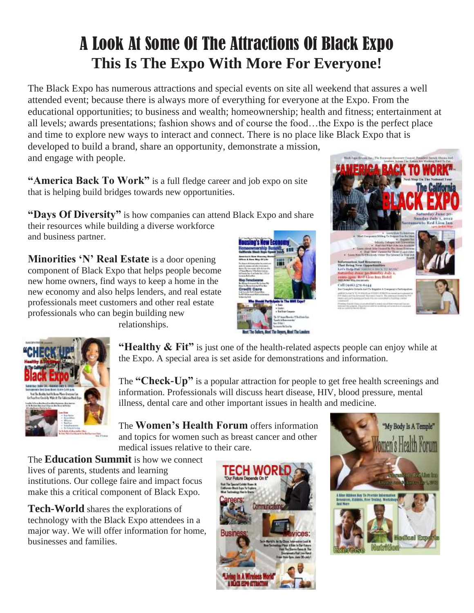# A Look At Some Of The Attractions Of Black Expo **This Is The Expo With More For Everyone!**

The Black Expo has numerous attractions and special events on site all weekend that assures a well attended event; because there is always more of everything for everyone at the Expo. From the educational opportunities; to business and wealth; homeownership; health and fitness; entertainment at all levels; awards presentations; fashion shows and of course the food…the Expo is the perfect place and time to explore new ways to interact and connect. There is no place like Black Expo that is developed to build a brand, share an opportunity, demonstrate a mission, and engage with people.

**"America Back To Work"** is a full fledge career and job expo on site that is helping build bridges towards new opportunities.

**"Days Of Diversity"** is how companies can attend Black Expo and share their resources while building a diverse workforce and business partner.

**Minorities 'N' Real Estate** is a door opening component of Black Expo that helps people become new home owners, find ways to keep a home in the new economy and also helps lenders, and real estate professionals meet customers and other real estate professionals who can begin building new









**"Healthy & Fit"** is just one of the health-related aspects people can enjoy while at the Expo. A special area is set aside for demonstrations and information.

The **"Check-Up"** is a popular attraction for people to get free health screenings and information. Professionals will discuss heart disease, HIV, blood pressure, mental illness, dental care and other important issues in health and medicine.

The **Women's Health Forum** offers information and topics for women such as breast cancer and other medical issues relative to their care.

The **Education Summit** is how we connect lives of parents, students and learning institutions. Our college faire and impact focus make this a critical component of Black Expo.

**Tech-World** shares the explorations of technology with the Black Expo attendees in a major way. We will offer information for home, businesses and families.



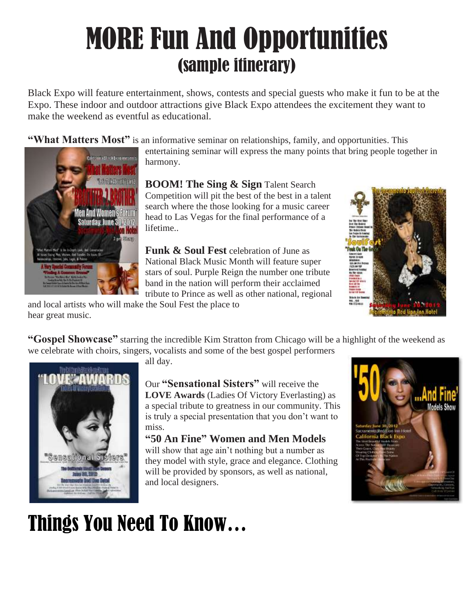# MORE Fun And Opportunities (sample itinerary)

Black Expo will feature entertainment, shows, contests and special guests who make it fun to be at the Expo. These indoor and outdoor attractions give Black Expo attendees the excitement they want to make the weekend as eventful as educational.

**"What Matters Most"** is an informative seminar on relationships, family, and opportunities. This



entertaining seminar will express the many points that bring people together in harmony.

**BOOM! The Sing & Sign** Talent Search Competition will pit the best of the best in a talent search where the those looking for a music career head to Las Vegas for the final performance of a lifetime..

**Funk & Soul Fest** celebration of June as National Black Music Month will feature super stars of soul. Purple Reign the number one tribute band in the nation will perform their acclaimed tribute to Prince as well as other national, regional



and local artists who will make the Soul Fest the place to hear great music.

**"Gospel Showcase"** starring the incredible Kim Stratton from Chicago will be a highlight of the weekend as we celebrate with choirs, singers, vocalists and some of the best gospel performers



all day.

and local designers.

Our **"Sensational Sisters"** will receive the **LOVE Awards** (Ladies Of Victory Everlasting) as a special tribute to greatness in our community. This is truly a special presentation that you don't want to miss.

#### **"50 An Fine" Women and Men Models** will show that age ain't nothing but a number as they model with style, grace and elegance. Clothing will be provided by sponsors, as well as national,

# Things You Need To Know…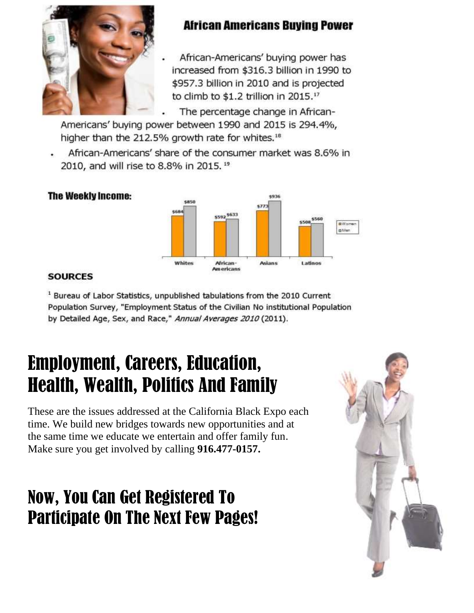

### **African Americans Buying Power**

African-Americans' buying power has increased from \$316.3 billion in 1990 to \$957.3 billion in 2010 and is projected to climb to \$1.2 trillion in 2015.<sup>17</sup>

The percentage change in African-

Americans' buying power between 1990 and 2015 is 294.4%, higher than the 212.5% growth rate for whites.<sup>18</sup>

African-Americans' share of the consumer market was 8.6% in 2010, and will rise to 8.8% in 2015. 19



#### **SOURCES**

**The Weekly Income:** 

<sup>1</sup> Bureau of Labor Statistics, unpublished tabulations from the 2010 Current Population Survey, "Employment Status of the Civilian No institutional Population by Detailed Age, Sex, and Race," Annual Averages 2010 (2011).

# Employment, Careers, Education, Health, Wealth, Politics And Family

These are the issues addressed at the California Black Expo each time. We build new bridges towards new opportunities and at the same time we educate we entertain and offer family fun. Make sure you get involved by calling **916.477-0157.**

# Now, You Can Get Registered To Participate On The Next Few Pages!

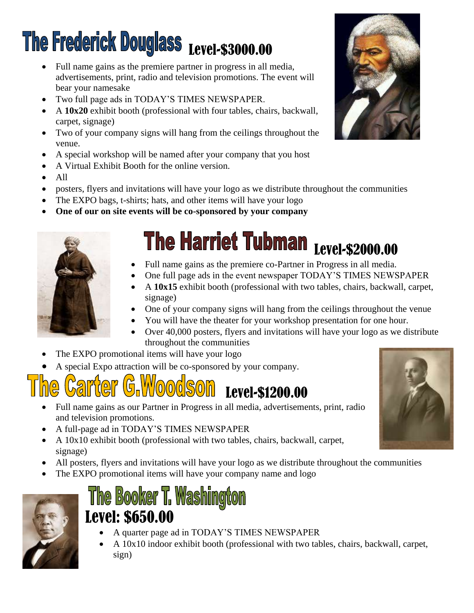# The Frederick Douglass Level-\$3000.00

- Full name gains as the premiere partner in progress in all media, advertisements, print, radio and television promotions. The event will bear your namesake
- Two full page ads in TODAY'S TIMES NEWSPAPER.
- A **10x20** exhibit booth (professional with four tables, chairs, backwall, carpet, signage)
- Two of your company signs will hang from the ceilings throughout the venue.
- A special workshop will be named after your company that you host
- A Virtual Exhibit Booth for the online version.
- All
- posters, flyers and invitations will have your logo as we distribute throughout the communities
- The EXPO bags, t-shirts; hats, and other items will have your logo
- **One of our on site events will be co-sponsored by your company**



# The Harriet Tubman Level-\$2000.00

- Full name gains as the premiere co-Partner in Progress in all media.
- One full page ads in the event newspaper TODAY'S TIMES NEWSPAPER
- A **10x15** exhibit booth (professional with two tables, chairs, backwall, carpet, signage)
- One of your company signs will hang from the ceilings throughout the venue
- You will have the theater for your workshop presentation for one hour.
- Over 40,000 posters, flyers and invitations will have your logo as we distribute throughout the communities
- The EXPO promotional items will have your logo
- A special Expo attraction will be co-sponsored by your company.

# Level-\$1200.00

- Full name gains as our Partner in Progress in all media, advertisements, print, radio and television promotions.
- A full-page ad in TODAY'S TIMES NEWSPAPER
- A  $10x10$  exhibit booth (professional with two tables, chairs, backwall, carpet, signage)
- All posters, flyers and invitations will have your logo as we distribute throughout the communities
- The EXPO promotional items will have your company name and logo



## The Booker T. Washington Level: \$650.00

- A quarter page ad in TODAY'S TIMES NEWSPAPER
- A 10x10 indoor exhibit booth (professional with two tables, chairs, backwall, carpet, sign)



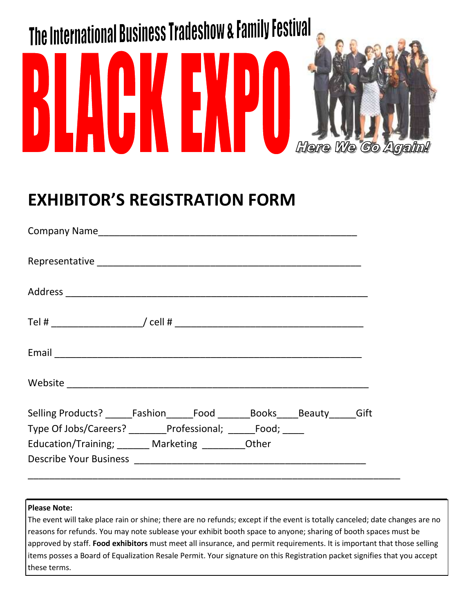

## **EXHIBITOR'S REGISTRATION FORM**

| Selling Products? _______Fashion_______Food _________Books_____Beauty______Gift |  |
|---------------------------------------------------------------------------------|--|
| Type Of Jobs/Careers? _______Professional; ______Food; _____                    |  |
| Education/Training; ______ Marketing ________ Other                             |  |
|                                                                                 |  |
|                                                                                 |  |

#### **Please Note:**

The event will take place rain or shine; there are no refunds; except if the event is totally canceled; date changes are no reasons for refunds. You may note sublease your exhibit booth space to anyone; sharing of booth spaces must be approved by staff. **Food exhibitors** must meet all insurance, and permit requirements. It is important that those selling items posses a Board of Equalization Resale Permit. Your signature on this Registration packet signifies that you accept these terms.